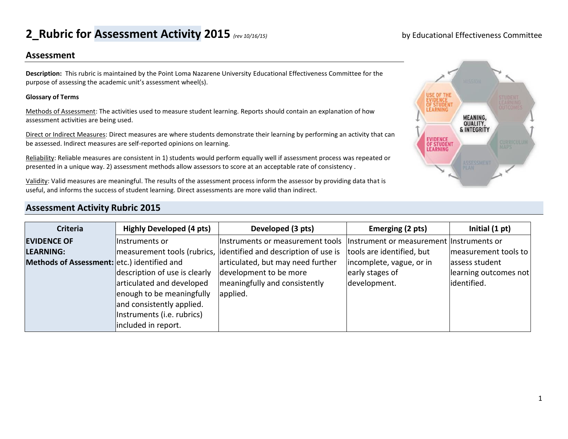## **2\_Rubric for Assessment Activity 2015** *(rev 10/16/15)* by Educational Effectiveness Committee

#### **Assessment**

**Description:** This rubric is maintained by the Point Loma Nazarene University Educational Effectiveness Committee for the purpose of assessing the academic unit's assessment wheel(s).

#### **Glossary of Terms**

Methods of Assessment: The activities used to measure student learning. Reports should contain an explanation of how assessment activities are being used.

Direct or Indirect Measures: Direct measures are where students demonstrate their learning by performing an activity that can be assessed. Indirect measures are self-reported opinions on learning.

Reliability: Reliable measures are consistent in 1) students would perform equally well if assessment process was repeated or presented in a unique way. 2) assessment methods allow assessors to score at an acceptable rate of consistency .

Validity: Valid measures are meaningful. The results of the assessment process inform the assessor by providing data that is useful, and informs the success of student learning. Direct assessments are more valid than indirect.

# MEANING,<br>QUALITY, & INTEGRITY EVIDENCE<br>OF STUDENT<br>LEARNING

### **Assessment Activity Rubric 2015**

| <b>Criteria</b>                             | <b>Highly Developed (4 pts)</b> | Developed (3 pts)                                                | Emerging (2 pts)                         | Initial $(1 pt)$      |
|---------------------------------------------|---------------------------------|------------------------------------------------------------------|------------------------------------------|-----------------------|
| <b>EVIDENCE OF</b>                          | lInstruments or                 | Instruments or measurement tools                                 | Instrument or measurement Instruments or |                       |
| <b>LEARNING:</b>                            |                                 | measurement tools (rubrics, identified and description of use is | tools are identified, but                | measurement tools to  |
| Methods of Assessment: etc.) identified and |                                 | articulated, but may need further                                | incomplete, vague, or in                 | assess student        |
|                                             | description of use is clearly   | development to be more                                           | early stages of                          | learning outcomes not |
|                                             | articulated and developed       | meaningfully and consistently                                    | development.                             | identified.           |
|                                             | enough to be meaningfully       | applied.                                                         |                                          |                       |
|                                             | and consistently applied.       |                                                                  |                                          |                       |
|                                             | Instruments (i.e. rubrics)      |                                                                  |                                          |                       |
|                                             | included in report.             |                                                                  |                                          |                       |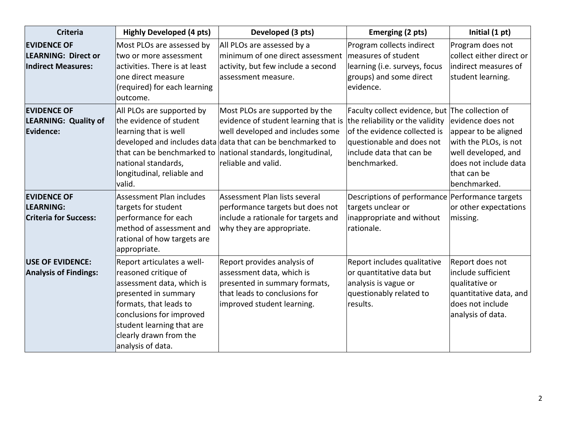| <b>Criteria</b>                                                               | <b>Highly Developed (4 pts)</b>                                                                                                                                                                                                           | Developed (3 pts)                                                                                                                                                                                                                                                | Emerging (2 pts)                                                                                                                                                                            | Initial (1 pt)                                                                                                                                    |
|-------------------------------------------------------------------------------|-------------------------------------------------------------------------------------------------------------------------------------------------------------------------------------------------------------------------------------------|------------------------------------------------------------------------------------------------------------------------------------------------------------------------------------------------------------------------------------------------------------------|---------------------------------------------------------------------------------------------------------------------------------------------------------------------------------------------|---------------------------------------------------------------------------------------------------------------------------------------------------|
| <b>EVIDENCE OF</b><br><b>LEARNING: Direct or</b><br><b>Indirect Measures:</b> | Most PLOs are assessed by<br>two or more assessment<br>activities. There is at least<br>one direct measure<br>(required) for each learning<br>outcome.                                                                                    | All PLOs are assessed by a<br>minimum of one direct assessment<br>activity, but few include a second<br>assessment measure.                                                                                                                                      | Program collects indirect<br>measures of student<br>learning (i.e. surveys, focus<br>groups) and some direct<br>evidence.                                                                   | Program does not<br>collect either direct or<br>indirect measures of<br>student learning.                                                         |
| <b>EVIDENCE OF</b><br><b>LEARNING: Quality of</b><br>Evidence:                | All PLOs are supported by<br>the evidence of student<br>learning that is well<br>national standards,<br>longitudinal, reliable and<br>valid.                                                                                              | Most PLOs are supported by the<br>evidence of student learning that is<br>well developed and includes some<br>developed and includes data data that can be benchmarked to<br>that can be benchmarked to national standards, longitudinal,<br>reliable and valid. | Faculty collect evidence, but The collection of<br>the reliability or the validity<br>of the evidence collected is<br>questionable and does not<br>include data that can be<br>benchmarked. | evidence does not<br>appear to be aligned<br>with the PLOs, is not<br>well developed, and<br>does not include data<br>that can be<br>benchmarked. |
| <b>EVIDENCE OF</b><br>LEARNING:<br><b>Criteria for Success:</b>               | Assessment Plan includes<br>targets for student<br>performance for each<br>method of assessment and<br>rational of how targets are<br>appropriate.                                                                                        | Assessment Plan lists several<br>performance targets but does not<br>include a rationale for targets and<br>why they are appropriate.                                                                                                                            | Descriptions of performance Performance targets<br>targets unclear or<br>inappropriate and without<br>rationale.                                                                            | or other expectations<br>missing.                                                                                                                 |
| <b>USE OF EVIDENCE:</b><br><b>Analysis of Findings:</b>                       | Report articulates a well-<br>reasoned critique of<br>assessment data, which is<br>presented in summary<br>formats, that leads to<br>conclusions for improved<br>student learning that are<br>clearly drawn from the<br>analysis of data. | Report provides analysis of<br>assessment data, which is<br>presented in summary formats,<br>that leads to conclusions for<br>improved student learning.                                                                                                         | Report includes qualitative<br>or quantitative data but<br>analysis is vague or<br>questionably related to<br>results.                                                                      | Report does not<br>include sufficient<br>qualitative or<br>quantitative data, and<br>does not include<br>analysis of data.                        |